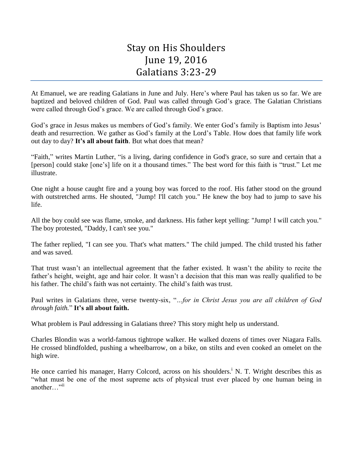## Stay on His Shoulders June 19, 2016 Galatians 3:23-29

At Emanuel, we are reading Galatians in June and July. Here's where Paul has taken us so far. We are baptized and beloved children of God. Paul was called through God's grace. The Galatian Christians were called through God's grace. We are called through God's grace.

God's grace in Jesus makes us members of God's family. We enter God's family is Baptism into Jesus' death and resurrection. We gather as God's family at the Lord's Table. How does that family life work out day to day? **It's all about faith**. But what does that mean?

"Faith," writes Martin Luther, "is a living, daring confidence in God's grace, so sure and certain that a [person] could stake [one's] life on it a thousand times." The best word for this faith is "trust." Let me illustrate.

One night a house caught fire and a young boy was forced to the roof. His father stood on the ground with outstretched arms. He shouted, "Jump! I'll catch you." He knew the boy had to jump to save his life.

All the boy could see was flame, smoke, and darkness. His father kept yelling: "Jump! I will catch you." The boy protested, "Daddy, I can't see you."

The father replied, "I can see you. That's what matters." The child jumped. The child trusted his father and was saved.

That trust wasn't an intellectual agreement that the father existed. It wasn't the ability to recite the father's height, weight, age and hair color. It wasn't a decision that this man was really qualified to be his father. The child's faith was not certainty. The child's faith was trust.

Paul writes in Galatians three, verse twenty-six, "*…for in Christ Jesus you are all children of God through faith.*" **It's all about faith.**

What problem is Paul addressing in Galatians three? This story might help us understand.

Charles Blondin was a world-famous tightrope walker. He walked dozens of times over Niagara Falls. He crossed blindfolded, pushing a wheelbarrow, on a bike, on stilts and even cooked an omelet on the high wire.

He once carried his manager, Harry Colcord, across on his shoulders.<sup>i</sup> N. T. Wright describes this as "what must be one of the most supreme acts of physical trust ever placed by one human being in another…"